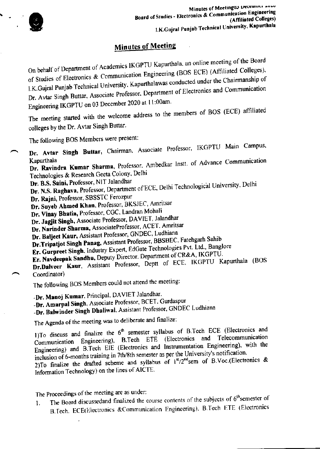

## **Minutes of Meeting**

On behalf of Department of Academics IKGPTU Kapurthala, an online meeting of the Board of Studies of Electronics & Communication Engineering (BOS ECE) (Affiliated Colleges), I.K.Gujral Punjab Technical University, Kapurthalawas conducted under the Chairmanship of Dr. Avtar Singh Buttar, Associate Professor, Department of Electronics and Communication Engineering IKGPTU on 03 December 2020 at 11:00am.

The meeting started with the welcome address to the members of BOS (ECE) affiliated colleges by the Dr. Avtar Singh Buttar.

The following BOS Members were present:

Dr. Avtar Singh Buttar, Chairman, Associate Professor, IKGPTU Main Campus,

Dr. Ravindra Kumar Sharma, Professor, Ambedkar Instt. of Advance Communication Kapurthala Technologies & Research Geeta Colony, Delhi

Dr. B.S. Saini, Professor, NIT Jalandhar

Dr. N.S. Raghava, Professor, Department of ECE, Delhi Technological University, Delhi

Dr. Rajni, Professor, SBSSTC Ferozpur

Dr. Suyeb Ahmed Khan, Professor, BKSJEC, Amritsar

Dr. Vinay Bhatia, Professor, CGC, Landran Mohali

Dr. Jagjit Singh, Associate Professor, DAVIET, Jalandhar

Dr. Narinder Sharma, AssociateProfessor, ACET. Amritsar

Dr. Baljeet Kaur, Assistant Professor, GNDEC, Ludhiana

Dr.Tripatjot Singh Panag, Assistant Professor, BBSBEC, Fatehgarh Sahib

Er. Gurpreet Singh, Industry Expert, EdGate Technologies Pvt. Ltd., Banglore

Er. Navdeepak Sandhu, Deputy Director. Department of CR&A, IKGPTU.

Dr.Dalveer Kaur, Assistant Professor, Deptt of ECE, IKGPTU Kapurthala (BOS Coordinator)

The following BOS Members could not attend the meeting:

-Dr. Manoj Kumar. Principal. DAVIET Jalandhar.

-Dr. Amarpal Singh, Associate Professor, BCET. Gurdaspur

-Dr. Balwinder Singh Dhaliwal, Assistant Professor, GNDEC Ludhiana

The Agenda of the meeting was to deliberate and finalize:

1)To discuss and finalize the 6<sup>th</sup> semester syllabus of B.Tech ECE (Electronics and and Telecommunication Communication Engineering), B.Tech ETE (Electronics Engineering) and B.Tech EIE (Electronics and Instrumentation Engineering), with the inclusion of 6-months training in 7th/8th semester as per the University's notification. 2)To finalize the drafted scheme and syllabus of  $1^{st}/2^{nd}$ sem of B.Voc.(Electronics & Information Technology) on the lines of AICTE.

The Proceedings of the meeting are as under:

The Board discussedand finalized the course contents of the subjects of 6<sup>th</sup>semester of 1. B.Tech. ECE(Electronics &Communication Engineering), B.Tech ETE (Electronics